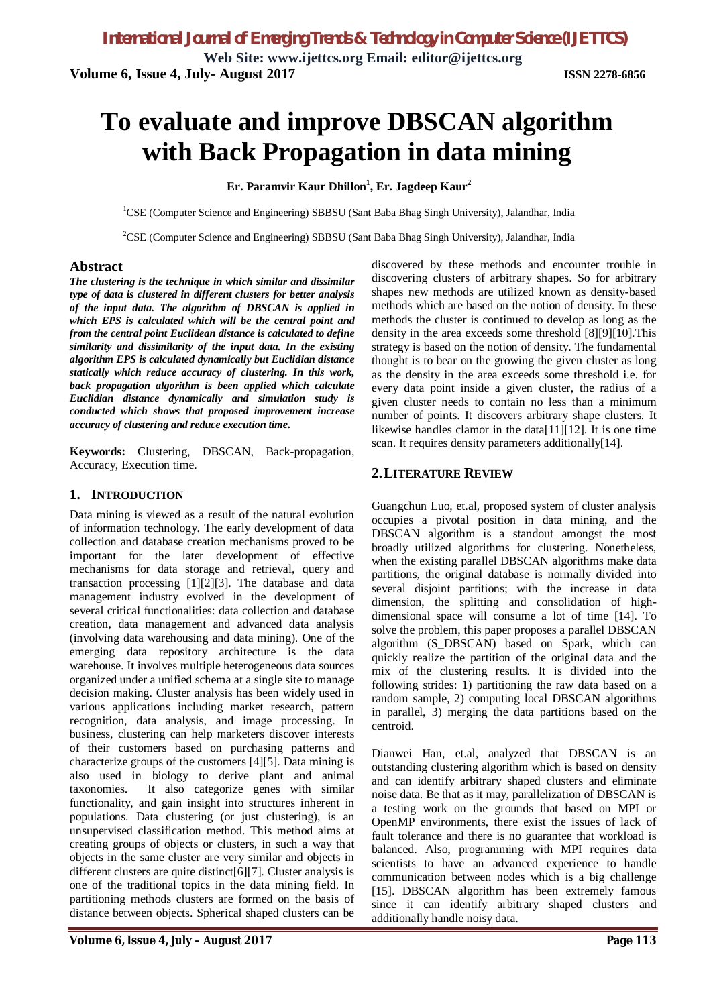**Web Site: www.ijettcs.org Email: editor@ijettcs.org Volume 6, Issue 4, July- August 2017 ISSN 2278-6856**

# **To evaluate and improve DBSCAN algorithm with Back Propagation in data mining**

**Er. Paramvir Kaur Dhillon 1 , Er. Jagdeep Kaur<sup>2</sup>**

<sup>1</sup>CSE (Computer Science and Engineering) SBBSU (Sant Baba Bhag Singh University), Jalandhar, India

<sup>2</sup>CSE (Computer Science and Engineering) SBBSU (Sant Baba Bhag Singh University), Jalandhar, India

#### **Abstract**

*The clustering is the technique in which similar and dissimilar type of data is clustered in different clusters for better analysis of the input data. The algorithm of DBSCAN is applied in which EPS is calculated which will be the central point and from the central point Euclidean distance is calculated to define similarity and dissimilarity of the input data. In the existing algorithm EPS is calculated dynamically but Euclidian distance statically which reduce accuracy of clustering. In this work, back propagation algorithm is been applied which calculate Euclidian distance dynamically and simulation study is conducted which shows that proposed improvement increase accuracy of clustering and reduce execution time.* 

**Keywords:** Clustering, DBSCAN, Back-propagation, Accuracy, Execution time.

#### **1. INTRODUCTION**

Data mining is viewed as a result of the natural evolution of information technology. The early development of data collection and database creation mechanisms proved to be important for the later development of effective mechanisms for data storage and retrieval, query and transaction processing [1][2][3]. The database and data management industry evolved in the development of several critical functionalities: data collection and database creation, data management and advanced data analysis (involving data warehousing and data mining). One of the emerging data repository architecture is the data warehouse. It involves multiple heterogeneous data sources organized under a unified schema at a single site to manage decision making. Cluster analysis has been widely used in various applications including market research, pattern recognition, data analysis, and image processing. In business, clustering can help marketers discover interests of their customers based on purchasing patterns and characterize groups of the customers [4][5]. Data mining is also used in biology to derive plant and animal taxonomies. It also categorize genes with similar functionality, and gain insight into structures inherent in populations. Data clustering (or just clustering), is an unsupervised classification method. This method aims at creating groups of objects or clusters, in such a way that objects in the same cluster are very similar and objects in different clusters are quite distinct[6][7]. Cluster analysis is one of the traditional topics in the data mining field. In partitioning methods clusters are formed on the basis of distance between objects. Spherical shaped clusters can be

discovered by these methods and encounter trouble in discovering clusters of arbitrary shapes. So for arbitrary shapes new methods are utilized known as density-based methods which are based on the notion of density. In these methods the cluster is continued to develop as long as the density in the area exceeds some threshold [8][9][10].This strategy is based on the notion of density. The fundamental thought is to bear on the growing the given cluster as long as the density in the area exceeds some threshold i.e. for every data point inside a given cluster, the radius of a given cluster needs to contain no less than a minimum number of points. It discovers arbitrary shape clusters. It likewise handles clamor in the data[11][12]. It is one time scan. It requires density parameters additionally[14].

### **2.LITERATURE REVIEW**

Guangchun Luo, et.al, proposed system of cluster analysis occupies a pivotal position in data mining, and the DBSCAN algorithm is a standout amongst the most broadly utilized algorithms for clustering. Nonetheless, when the existing parallel DBSCAN algorithms make data partitions, the original database is normally divided into several disjoint partitions; with the increase in data dimension, the splitting and consolidation of highdimensional space will consume a lot of time [14]. To solve the problem, this paper proposes a parallel DBSCAN algorithm (S\_DBSCAN) based on Spark, which can quickly realize the partition of the original data and the mix of the clustering results. It is divided into the following strides: 1) partitioning the raw data based on a random sample, 2) computing local DBSCAN algorithms in parallel, 3) merging the data partitions based on the centroid.

Dianwei Han, et.al, analyzed that DBSCAN is an outstanding clustering algorithm which is based on density and can identify arbitrary shaped clusters and eliminate noise data. Be that as it may, parallelization of DBSCAN is a testing work on the grounds that based on MPI or OpenMP environments, there exist the issues of lack of fault tolerance and there is no guarantee that workload is balanced. Also, programming with MPI requires data scientists to have an advanced experience to handle communication between nodes which is a big challenge [15]. DBSCAN algorithm has been extremely famous since it can identify arbitrary shaped clusters and additionally handle noisy data.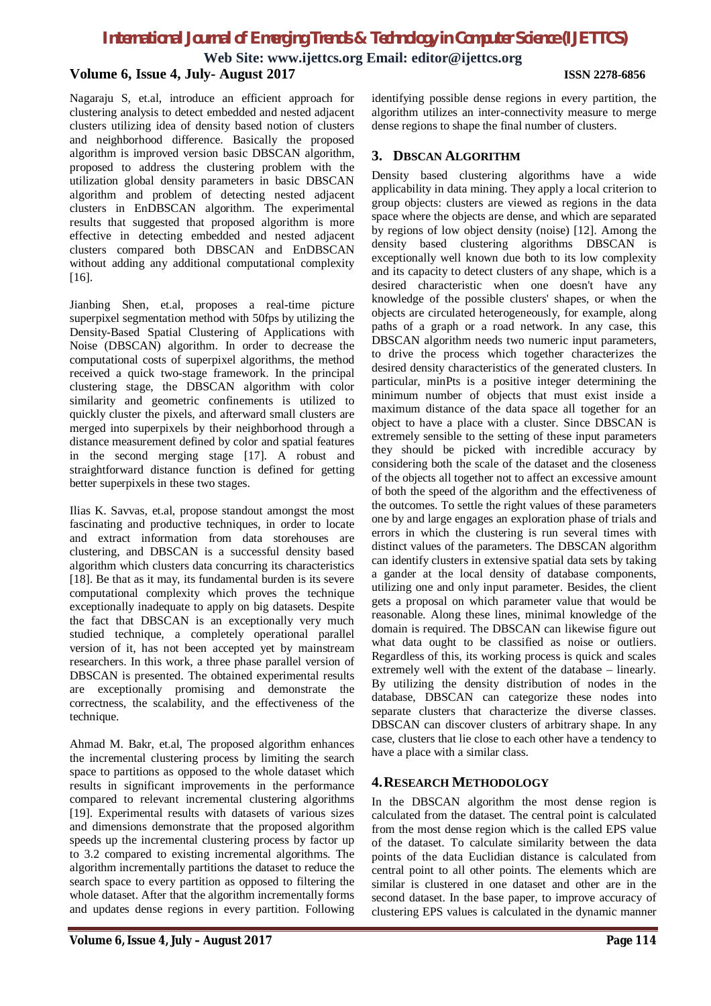**Web Site: www.ijettcs.org Email: editor@ijettcs.org**

#### **Volume 6, Issue 4, July- August 2017 ISSN 2278-6856**

Nagaraju S, et.al, introduce an efficient approach for clustering analysis to detect embedded and nested adjacent clusters utilizing idea of density based notion of clusters and neighborhood difference. Basically the proposed algorithm is improved version basic DBSCAN algorithm, proposed to address the clustering problem with the utilization global density parameters in basic DBSCAN algorithm and problem of detecting nested adjacent clusters in EnDBSCAN algorithm. The experimental results that suggested that proposed algorithm is more effective in detecting embedded and nested adjacent clusters compared both DBSCAN and EnDBSCAN without adding any additional computational complexity [16].

Jianbing Shen, et.al, proposes a real-time picture superpixel segmentation method with 50fps by utilizing the Density-Based Spatial Clustering of Applications with Noise (DBSCAN) algorithm. In order to decrease the computational costs of superpixel algorithms, the method received a quick two-stage framework. In the principal clustering stage, the DBSCAN algorithm with color similarity and geometric confinements is utilized to quickly cluster the pixels, and afterward small clusters are merged into superpixels by their neighborhood through a distance measurement defined by color and spatial features in the second merging stage [17]. A robust and straightforward distance function is defined for getting better superpixels in these two stages.

Ilias K. Savvas, et.al, propose standout amongst the most fascinating and productive techniques, in order to locate and extract information from data storehouses are clustering, and DBSCAN is a successful density based algorithm which clusters data concurring its characteristics [18]. Be that as it may, its fundamental burden is its severe computational complexity which proves the technique exceptionally inadequate to apply on big datasets. Despite the fact that DBSCAN is an exceptionally very much studied technique, a completely operational parallel version of it, has not been accepted yet by mainstream researchers. In this work, a three phase parallel version of DBSCAN is presented. The obtained experimental results are exceptionally promising and demonstrate the correctness, the scalability, and the effectiveness of the technique.

Ahmad M. Bakr, et.al, The proposed algorithm enhances the incremental clustering process by limiting the search space to partitions as opposed to the whole dataset which results in significant improvements in the performance compared to relevant incremental clustering algorithms [19]. Experimental results with datasets of various sizes and dimensions demonstrate that the proposed algorithm speeds up the incremental clustering process by factor up to 3.2 compared to existing incremental algorithms. The algorithm incrementally partitions the dataset to reduce the search space to every partition as opposed to filtering the whole dataset. After that the algorithm incrementally forms and updates dense regions in every partition. Following

identifying possible dense regions in every partition, the algorithm utilizes an inter-connectivity measure to merge dense regions to shape the final number of clusters.

#### **3. DBSCAN ALGORITHM**

Density based clustering algorithms have a wide applicability in data mining. They apply a local criterion to group objects: clusters are viewed as regions in the data space where the objects are dense, and which are separated by regions of low object density (noise) [12]. Among the density based clustering algorithms DBSCAN is exceptionally well known due both to its low complexity and its capacity to detect clusters of any shape, which is a desired characteristic when one doesn't have any knowledge of the possible clusters' shapes, or when the objects are circulated heterogeneously, for example, along paths of a graph or a road network. In any case, this DBSCAN algorithm needs two numeric input parameters, to drive the process which together characterizes the desired density characteristics of the generated clusters. In particular, minPts is a positive integer determining the minimum number of objects that must exist inside a maximum distance of the data space all together for an object to have a place with a cluster. Since DBSCAN is extremely sensible to the setting of these input parameters they should be picked with incredible accuracy by considering both the scale of the dataset and the closeness of the objects all together not to affect an excessive amount of both the speed of the algorithm and the effectiveness of the outcomes. To settle the right values of these parameters one by and large engages an exploration phase of trials and errors in which the clustering is run several times with distinct values of the parameters. The DBSCAN algorithm can identify clusters in extensive spatial data sets by taking a gander at the local density of database components, utilizing one and only input parameter. Besides, the client gets a proposal on which parameter value that would be reasonable. Along these lines, minimal knowledge of the domain is required. The DBSCAN can likewise figure out what data ought to be classified as noise or outliers. Regardless of this, its working process is quick and scales extremely well with the extent of the database – linearly. By utilizing the density distribution of nodes in the database, DBSCAN can categorize these nodes into separate clusters that characterize the diverse classes. DBSCAN can discover clusters of arbitrary shape. In any case, clusters that lie close to each other have a tendency to have a place with a similar class.

#### **4.RESEARCH METHODOLOGY**

In the DBSCAN algorithm the most dense region is calculated from the dataset. The central point is calculated from the most dense region which is the called EPS value of the dataset. To calculate similarity between the data points of the data Euclidian distance is calculated from central point to all other points. The elements which are similar is clustered in one dataset and other are in the second dataset. In the base paper, to improve accuracy of clustering EPS values is calculated in the dynamic manner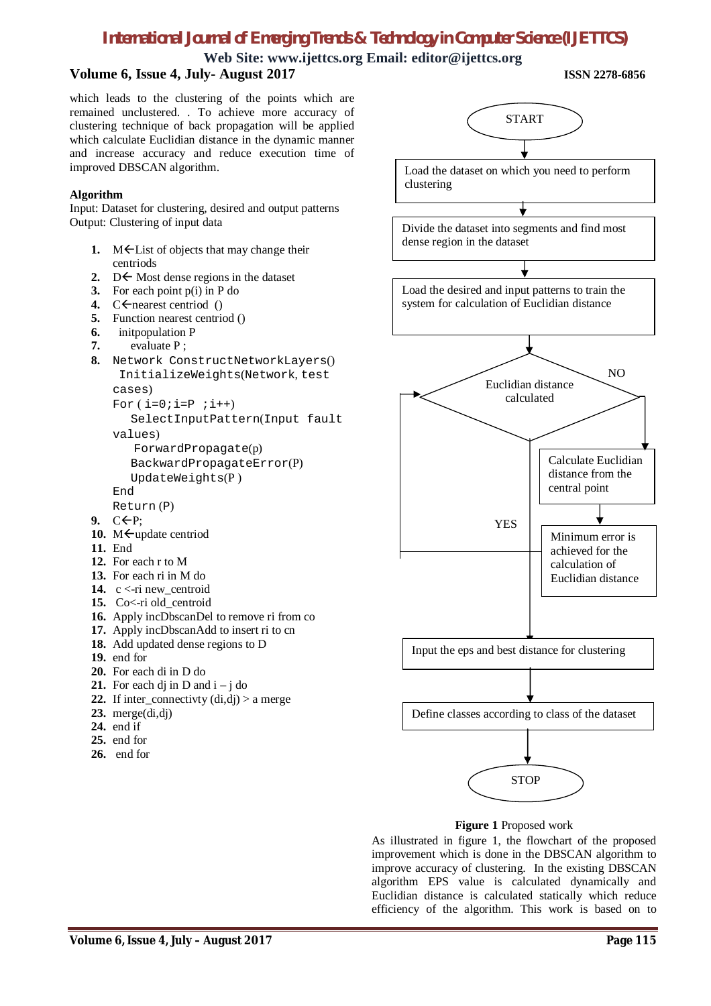**Web Site: www.ijettcs.org Email: editor@ijettcs.org Volume 6, Issue 4, July- August 2017 ISSN 2278-6856**

which leads to the clustering of the points which are remained unclustered. . To achieve more accuracy of clustering technique of back propagation will be applied which calculate Euclidian distance in the dynamic manner and increase accuracy and reduce execution time of improved DBSCAN algorithm.

#### **Algorithm**

Input: Dataset for clustering, desired and output patterns Output: Clustering of input data

- 1. M<sup> $\epsilon$ </sup>List of objects that may change their centriods
- 2.  $D \leftarrow$  Most dense regions in the dataset
- **3.** For each point p(i) in P do
- 4.  $C \leftarrow$  nearest centriod ()
- **5.** Function nearest centriod ()
- **6.** initpopulation P
- **7.** evaluate P ;
- **8.** Network ConstructNetworkLayers() InitializeWeights(Network, test cases)
	- For  $(i=0; i=P; i++)$

 SelectInputPattern(Input fault values)

```
 ForwardPropagate(p)
BackwardPropagateError(P)
```

```
 UpdateWeights(P )
```
End

- Return (P)
- 9.  $C \leftarrow P$ :
- 10. M<br/>  $\leftarrow$ update centriod
- **11.** End
- **12.** For each r to M
- **13.** For each ri in M do
- 14. c <- ri new\_centroid
- 15. Co<-ri old\_centroid
- **16.** Apply incDbscanDel to remove ri from co
- **17.** Apply incDbscanAdd to insert ri to cn
- **18.** Add updated dense regions to D
- **19.** end for
- **20.** For each di in D do
- **21.** For each dj in  $D$  and  $i j$  do
- **22.** If inter\_connectivty  $(\text{di}, \text{di}) > a$  merge
- **23.** merge(di,dj)
- **24.** end if
- **25.** end for
- 
- **26.** end for





As illustrated in figure 1, the flowchart of the proposed improvement which is done in the DBSCAN algorithm to improve accuracy of clustering. In the existing DBSCAN algorithm EPS value is calculated dynamically and Euclidian distance is calculated statically which reduce efficiency of the algorithm. This work is based on to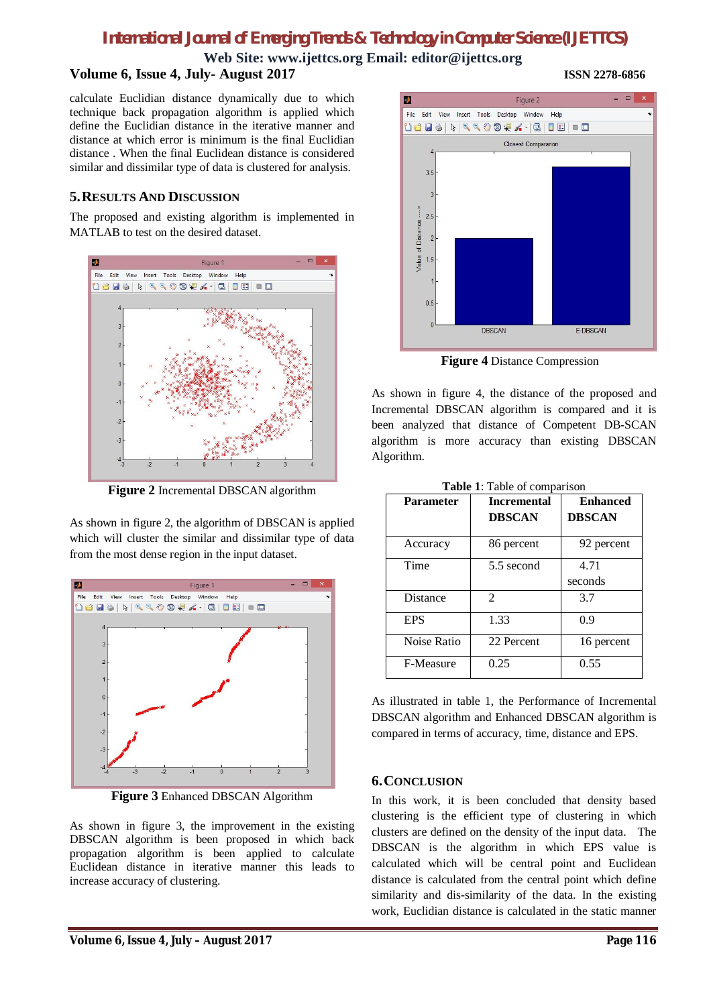**Web Site: www.ijettcs.org Email: editor@ijettcs.org**

# **Volume 6, Issue 4, July- August 2017 ISSN 2278-6856**

calculate Euclidian distance dynamically due to which technique back propagation algorithm is applied which define the Euclidian distance in the iterative manner and distance at which error is minimum is the final Euclidian distance . When the final Euclidean distance is considered similar and dissimilar type of data is clustered for analysis.

#### **5.RESULTS AND DISCUSSION**

The proposed and existing algorithm is implemented in MATLAB to test on the desired dataset.



**Figure 2** Incremental DBSCAN algorithm

As shown in figure 2, the algorithm of DBSCAN is applied which will cluster the similar and dissimilar type of data from the most dense region in the input dataset.



**Figure 3** Enhanced DBSCAN Algorithm

As shown in figure 3, the improvement in the existing DBSCAN algorithm is been proposed in which back propagation algorithm is been applied to calculate Euclidean distance in iterative manner this leads to increase accuracy of clustering.



**Figure 4** Distance Compression

As shown in figure 4, the distance of the proposed and Incremental DBSCAN algorithm is compared and it is been analyzed that distance of Competent DB-SCAN algorithm is more accuracy than existing DBSCAN Algorithm.

| <b>Parameter</b> | <b>Incremental</b> | <b>Enhanced</b> |
|------------------|--------------------|-----------------|
|                  | <b>DBSCAN</b>      | <b>DBSCAN</b>   |
| Accuracy         | 86 percent         | 92 percent      |
| Time             | 5.5 second         | 4.71            |
|                  |                    | seconds         |
| Distance         | 2                  | 3.7             |
| <b>EPS</b>       | 1.33               | 0.9             |
| Noise Ratio      | 22 Percent         | 16 percent      |
| F-Measure        | 0.25               | 0.55            |

**Table 1**: Table of comparison

As illustrated in table 1, the Performance of Incremental DBSCAN algorithm and Enhanced DBSCAN algorithm is compared in terms of accuracy, time, distance and EPS.

#### **6.CONCLUSION**

In this work, it is been concluded that density based clustering is the efficient type of clustering in which clusters are defined on the density of the input data. The DBSCAN is the algorithm in which EPS value is calculated which will be central point and Euclidean distance is calculated from the central point which define similarity and dis-similarity of the data. In the existing work, Euclidian distance is calculated in the static manner